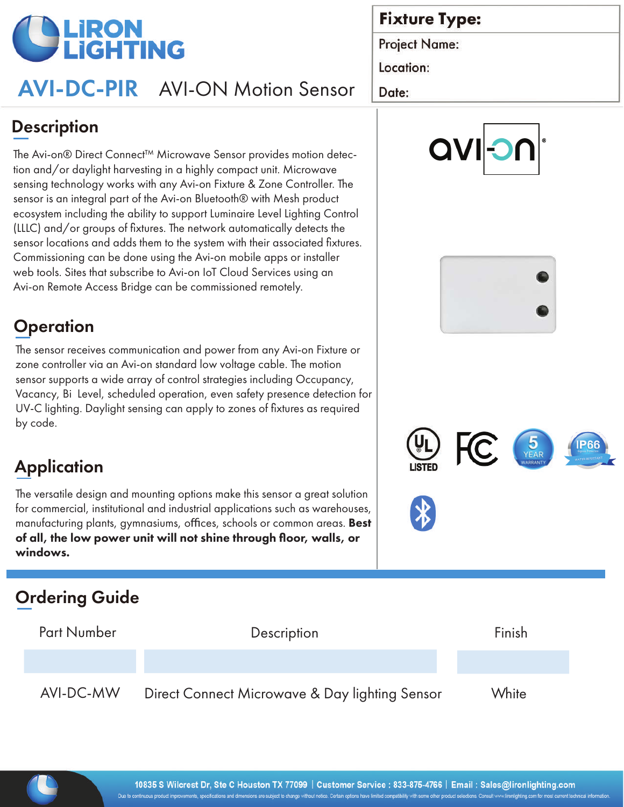

# AVI-DC-PIR AVI-ON Motion Sensor

## **Fixture Type:**

**Project Name:** 

Location:

Date:

## **Description**

The Avi-on® Direct Connect™ Microwave Sensor provides motion detection and/or daylight harvesting in a highly compact unit. Microwave sensing technology works with any Avi-on Fixture & Zone Controller. The sensor is an integral part of the Avi-on Bluetooth® with Mesh product ecosystem including the ability to support Luminaire Level Lighting Control (LLLC) and/or groups of fixtures. The network automatically detects the sensor locations and adds them to the system with their associated fixtures. Commissioning can be done using the Avi-on mobile apps or installer web tools. Sites that subscribe to Avi-on IoT Cloud Services using an Avi-on Remote Access Bridge can be commissioned remotely.

## **Operation**

The sensor receives communication and power from any Avi-on Fixture or zone controller via an Avi-on standard low voltage cable. The motion sensor supports a wide array of control strategies including Occupancy, Vacancy, Bi Level, scheduled operation, even safety presence detection for UV-C lighting. Daylight sensing can apply to zones of fixtures as required by code.

# **Application**

The versatile design and mounting options make this sensor a great solution for commercial, institutional and industrial applications such as warehouses, manufacturing plants, gymnasiums, offices, schools or common areas. Best of all, the low power unit will not shine through floor, walls, or windows.

## Ordering Guide

| <b>Part Number</b> | Description                                    | Finish |
|--------------------|------------------------------------------------|--------|
|                    |                                                |        |
| AVI-DC-MW          | Direct Connect Microwave & Day lighting Sensor | White  |